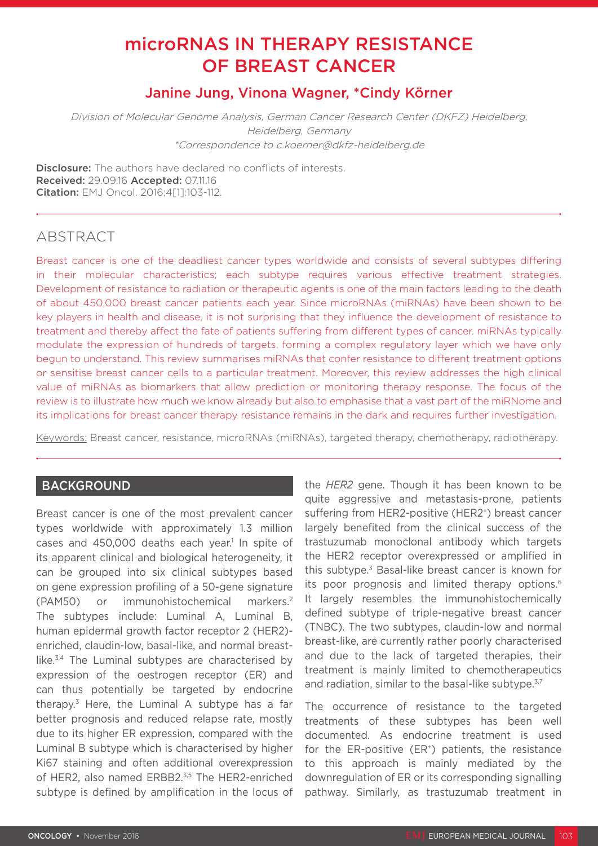# microRNAS IN THERAPY RESISTANCE OF BREAST CANCER

# Janine Jung, Vinona Wagner, \*Cindy Körner

Division of Molecular Genome Analysis, German Cancer Research Center (DKFZ) Heidelberg, Heidelberg, Germany \*Correspondence to c.koerner@dkfz-heidelberg.de

**Disclosure:** The authors have declared no conflicts of interests. Received: 29.09.16 Accepted: 07.11.16 Citation: EMJ Oncol. 2016;4[1]:103-112.

# ABSTRACT

Breast cancer is one of the deadliest cancer types worldwide and consists of several subtypes differing in their molecular characteristics; each subtype requires various effective treatment strategies. Development of resistance to radiation or therapeutic agents is one of the main factors leading to the death of about 450,000 breast cancer patients each year. Since microRNAs (miRNAs) have been shown to be key players in health and disease, it is not surprising that they influence the development of resistance to treatment and thereby affect the fate of patients suffering from different types of cancer. miRNAs typically modulate the expression of hundreds of targets, forming a complex regulatory layer which we have only begun to understand. This review summarises miRNAs that confer resistance to different treatment options or sensitise breast cancer cells to a particular treatment. Moreover, this review addresses the high clinical value of miRNAs as biomarkers that allow prediction or monitoring therapy response. The focus of the review is to illustrate how much we know already but also to emphasise that a vast part of the miRNome and its implications for breast cancer therapy resistance remains in the dark and requires further investigation.

Keywords: Breast cancer, resistance, microRNAs (miRNAs), targeted therapy, chemotherapy, radiotherapy.

## BACKGROUND

Breast cancer is one of the most prevalent cancer types worldwide with approximately 1.3 million cases and  $450,000$  deaths each year.<sup>1</sup> In spite of its apparent clinical and biological heterogeneity, it can be grouped into six clinical subtypes based on gene expression profiling of a 50-gene signature (PAM50) or immunohistochemical markers.2 The subtypes include: Luminal A, Luminal B, human epidermal growth factor receptor 2 (HER2) enriched, claudin-low, basal-like, and normal breastlike.3,4 The Luminal subtypes are characterised by expression of the oestrogen receptor (ER) and can thus potentially be targeted by endocrine therapy.<sup>3</sup> Here, the Luminal A subtype has a far better prognosis and reduced relapse rate, mostly due to its higher ER expression, compared with the Luminal B subtype which is characterised by higher Ki67 staining and often additional overexpression of HER2, also named ERBB2.<sup>3,5</sup> The HER2-enriched subtype is defined by amplification in the locus of

the *HER2* gene. Though it has been known to be quite aggressive and metastasis-prone, patients suffering from HER2-positive (HER2<sup>+</sup>) breast cancer largely benefited from the clinical success of the trastuzumab monoclonal antibody which targets the HER2 receptor overexpressed or amplified in this subtype.<sup>3</sup> Basal-like breast cancer is known for its poor prognosis and limited therapy options.<sup>6</sup> It largely resembles the immunohistochemically defined subtype of triple-negative breast cancer (TNBC). The two subtypes, claudin-low and normal breast-like, are currently rather poorly characterised and due to the lack of targeted therapies, their treatment is mainly limited to chemotherapeutics and radiation, similar to the basal-like subtype.<sup>3,7</sup>

The occurrence of resistance to the targeted treatments of these subtypes has been well documented. As endocrine treatment is used for the ER-positive  $(ER^*)$  patients, the resistance to this approach is mainly mediated by the downregulation of ER or its corresponding signalling pathway. Similarly, as trastuzumab treatment in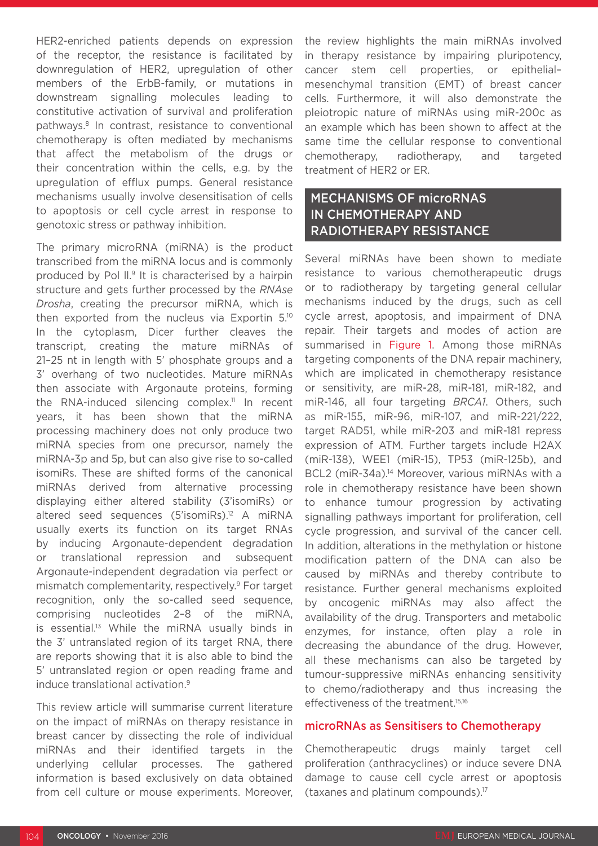HER2-enriched patients depends on expression of the receptor, the resistance is facilitated by downregulation of HER2, upregulation of other members of the ErbB-family, or mutations in downstream signalling molecules leading to constitutive activation of survival and proliferation pathways.8 In contrast, resistance to conventional chemotherapy is often mediated by mechanisms that affect the metabolism of the drugs or their concentration within the cells, e.g. by the upregulation of efflux pumps. General resistance mechanisms usually involve desensitisation of cells to apoptosis or cell cycle arrest in response to genotoxic stress or pathway inhibition.

The primary microRNA (miRNA) is the product transcribed from the miRNA locus and is commonly produced by Pol ll.9 It is characterised by a hairpin structure and gets further processed by the *RNAse Drosha*, creating the precursor miRNA, which is then exported from the nucleus via Exportin 5.10 In the cytoplasm, Dicer further cleaves the transcript, creating the mature miRNAs of 21–25 nt in length with 5' phosphate groups and a 3' overhang of two nucleotides. Mature miRNAs then associate with Argonaute proteins, forming the RNA-induced silencing complex.<sup>11</sup> In recent years, it has been shown that the miRNA processing machinery does not only produce two miRNA species from one precursor, namely the miRNA-3p and 5p, but can also give rise to so-called isomiRs. These are shifted forms of the canonical miRNAs derived from alternative processing displaying either altered stability (3'isomiRs) or altered seed sequences (5'isomiRs).12 A miRNA usually exerts its function on its target RNAs by inducing Argonaute-dependent degradation or translational repression and subsequent Argonaute-independent degradation via perfect or mismatch complementarity, respectively.9 For target recognition, only the so-called seed sequence, comprising nucleotides 2–8 of the miRNA, is essential.<sup>13</sup> While the miRNA usually binds in the 3' untranslated region of its target RNA, there are reports showing that it is also able to bind the 5' untranslated region or open reading frame and induce translational activation.9

This review article will summarise current literature on the impact of miRNAs on therapy resistance in breast cancer by dissecting the role of individual miRNAs and their identified targets in the underlying cellular processes. The gathered information is based exclusively on data obtained from cell culture or mouse experiments. Moreover, the review highlights the main miRNAs involved in therapy resistance by impairing pluripotency, cancer stem cell properties, or epithelial– mesenchymal transition (EMT) of breast cancer cells. Furthermore, it will also demonstrate the pleiotropic nature of miRNAs using miR-200c as an example which has been shown to affect at the same time the cellular response to conventional chemotherapy, radiotherapy, and targeted treatment of HER2 or ER.

# MECHANISMS OF microRNAS IN CHEMOTHERAPY AND RADIOTHERAPY RESISTANCE

Several miRNAs have been shown to mediate resistance to various chemotherapeutic drugs or to radiotherapy by targeting general cellular mechanisms induced by the drugs, such as cell cycle arrest, apoptosis, and impairment of DNA repair. Their targets and modes of action are summarised in Figure 1. Among those miRNAs targeting components of the DNA repair machinery, which are implicated in chemotherapy resistance or sensitivity, are miR-28, miR-181, miR-182, and miR-146, all four targeting *BRCA1*. Others, such as miR-155, miR-96, miR-107, and miR-221/222, target RAD51, while miR-203 and miR-181 repress expression of ATM. Further targets include H2AX (miR-138), WEE1 (miR-15), TP53 (miR-125b), and BCL2 (miR-34a).<sup>14</sup> Moreover, various miRNAs with a role in chemotherapy resistance have been shown to enhance tumour progression by activating signalling pathways important for proliferation, cell cycle progression, and survival of the cancer cell. In addition, alterations in the methylation or histone modification pattern of the DNA can also be caused by miRNAs and thereby contribute to resistance. Further general mechanisms exploited by oncogenic miRNAs may also affect the availability of the drug. Transporters and metabolic enzymes, for instance, often play a role in decreasing the abundance of the drug. However, all these mechanisms can also be targeted by tumour-suppressive miRNAs enhancing sensitivity to chemo/radiotherapy and thus increasing the effectiveness of the treatment.<sup>15,16</sup>

### microRNAs as Sensitisers to Chemotherapy

Chemotherapeutic drugs mainly target cell proliferation (anthracyclines) or induce severe DNA damage to cause cell cycle arrest or apoptosis (taxanes and platinum compounds).17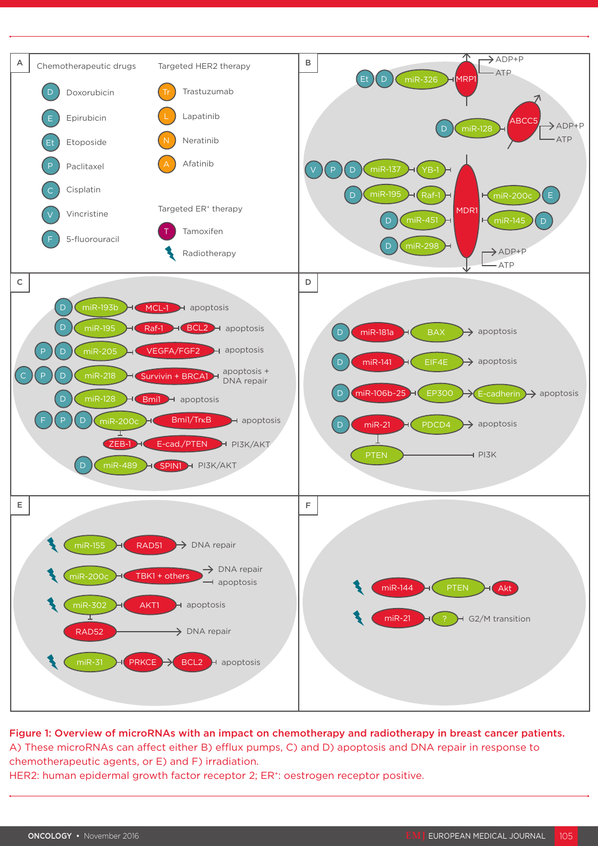

Figure 1: Overview of microRNAs with an impact on chemotherapy and radiotherapy in breast cancer patients. A) These microRNAs can affect either B) efflux pumps, C) and D) apoptosis and DNA repair in response to chemotherapeutic agents, or E) and F) irradiation. HER2: human epidermal growth factor receptor 2; ER<sup>+</sup>: oestrogen receptor positive.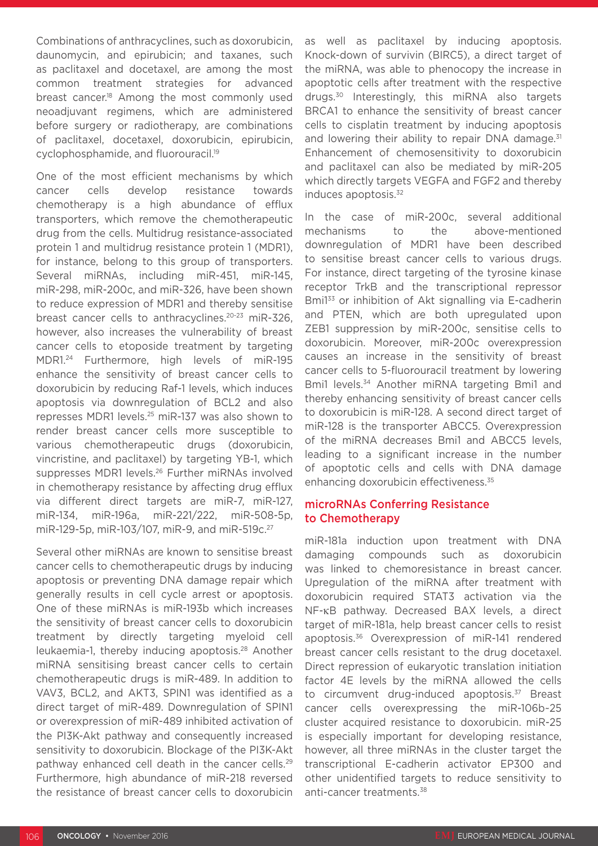Combinations of anthracyclines, such as doxorubicin, daunomycin, and epirubicin; and taxanes, such as paclitaxel and docetaxel, are among the most common treatment strategies for advanced breast cancer.<sup>18</sup> Among the most commonly used neoadjuvant regimens, which are administered before surgery or radiotherapy, are combinations of paclitaxel, docetaxel, doxorubicin, epirubicin, cyclophosphamide, and fluorouracil.19

One of the most efficient mechanisms by which cancer cells develop resistance towards chemotherapy is a high abundance of efflux transporters, which remove the chemotherapeutic drug from the cells. Multidrug resistance-associated protein 1 and multidrug resistance protein 1 (MDR1), for instance, belong to this group of transporters. Several miRNAs, including miR-451, miR-145, miR-298, miR-200c, and miR-326, have been shown to reduce expression of MDR1 and thereby sensitise breast cancer cells to anthracyclines.<sup>20-23</sup> miR-326, however, also increases the vulnerability of breast cancer cells to etoposide treatment by targeting MDR1.24 Furthermore, high levels of miR-195 enhance the sensitivity of breast cancer cells to doxorubicin by reducing Raf-1 levels, which induces apoptosis via downregulation of BCL2 and also represses MDR1 levels.25 miR-137 was also shown to render breast cancer cells more susceptible to various chemotherapeutic drugs (doxorubicin, vincristine, and paclitaxel) by targeting YB-1, which suppresses MDR1 levels.26 Further miRNAs involved in chemotherapy resistance by affecting drug efflux via different direct targets are miR-7, miR-127, miR-134, miR-196a, miR-221/222, miR-508-5p, miR-129-5p, miR-103/107, miR-9, and miR-519c.27

Several other miRNAs are known to sensitise breast cancer cells to chemotherapeutic drugs by inducing apoptosis or preventing DNA damage repair which generally results in cell cycle arrest or apoptosis. One of these miRNAs is miR-193b which increases the sensitivity of breast cancer cells to doxorubicin treatment by directly targeting myeloid cell leukaemia-1, thereby inducing apoptosis.28 Another miRNA sensitising breast cancer cells to certain chemotherapeutic drugs is miR-489. In addition to VAV3, BCL2, and AKT3, SPIN1 was identified as a direct target of miR-489. Downregulation of SPIN1 or overexpression of miR-489 inhibited activation of the PI3K-Akt pathway and consequently increased sensitivity to doxorubicin. Blockage of the PI3K-Akt pathway enhanced cell death in the cancer cells.<sup>29</sup> Furthermore, high abundance of miR-218 reversed the resistance of breast cancer cells to doxorubicin

as well as paclitaxel by inducing apoptosis. Knock-down of survivin (BIRC5), a direct target of the miRNA, was able to phenocopy the increase in apoptotic cells after treatment with the respective drugs.30 Interestingly, this miRNA also targets BRCA1 to enhance the sensitivity of breast cancer cells to cisplatin treatment by inducing apoptosis and lowering their ability to repair DNA damage.<sup>31</sup> Enhancement of chemosensitivity to doxorubicin and paclitaxel can also be mediated by miR-205 which directly targets VEGFA and FGF2 and thereby induces apoptosis.32

In the case of miR-200c, several additional mechanisms to the above-mentioned downregulation of MDR1 have been described to sensitise breast cancer cells to various drugs. For instance, direct targeting of the tyrosine kinase receptor TrkB and the transcriptional repressor Bmi133 or inhibition of Akt signalling via E-cadherin and PTEN, which are both upregulated upon ZEB1 suppression by miR-200c, sensitise cells to doxorubicin. Moreover, miR-200c overexpression causes an increase in the sensitivity of breast cancer cells to 5-fluorouracil treatment by lowering Bmi1 levels.<sup>34</sup> Another miRNA targeting Bmi1 and thereby enhancing sensitivity of breast cancer cells to doxorubicin is miR-128. A second direct target of miR-128 is the transporter ABCC5. Overexpression of the miRNA decreases Bmi1 and ABCC5 levels, leading to a significant increase in the number of apoptotic cells and cells with DNA damage enhancing doxorubicin effectiveness.<sup>35</sup>

### microRNAs Conferring Resistance to Chemotherapy

miR-181a induction upon treatment with DNA damaging compounds such as doxorubicin was linked to chemoresistance in breast cancer. Upregulation of the miRNA after treatment with doxorubicin required STAT3 activation via the NF-κB pathway. Decreased BAX levels, a direct target of miR-181a, help breast cancer cells to resist apoptosis.36 Overexpression of miR-141 rendered breast cancer cells resistant to the drug docetaxel. Direct repression of eukaryotic translation initiation factor 4E levels by the miRNA allowed the cells to circumvent drug-induced apoptosis.<sup>37</sup> Breast cancer cells overexpressing the miR-106b~25 cluster acquired resistance to doxorubicin. miR-25 is especially important for developing resistance, however, all three miRNAs in the cluster target the transcriptional E-cadherin activator EP300 and other unidentified targets to reduce sensitivity to anti-cancer treatments.<sup>38</sup>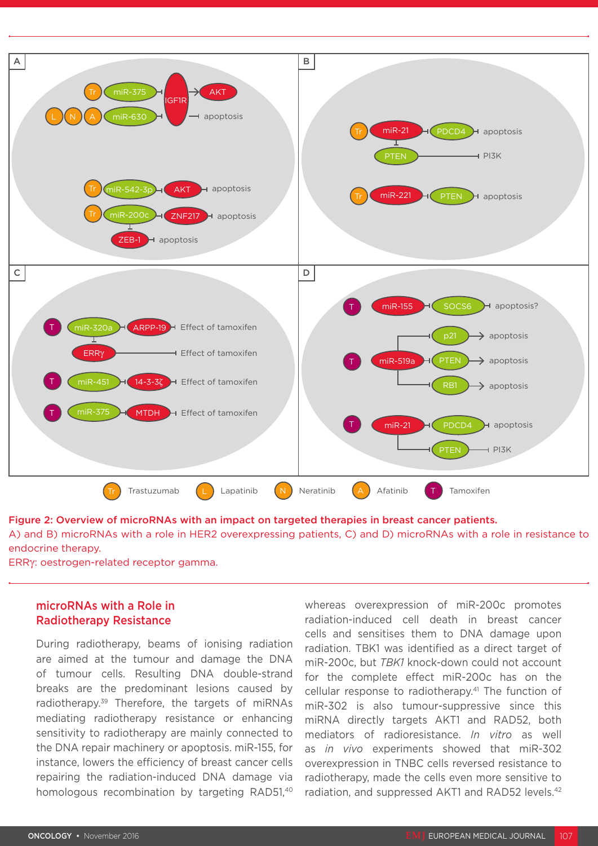

Figure 2: Overview of microRNAs with an impact on targeted therapies in breast cancer patients. A) and B) microRNAs with a role in HER2 overexpressing patients, C) and D) microRNAs with a role in resistance to

endocrine therapy.

ERRγ: oestrogen-related receptor gamma.

## microRNAs with a Role in Radiotherapy Resistance

During radiotherapy, beams of ionising radiation are aimed at the tumour and damage the DNA of tumour cells. Resulting DNA double-strand breaks are the predominant lesions caused by radiotherapy.39 Therefore, the targets of miRNAs mediating radiotherapy resistance or enhancing sensitivity to radiotherapy are mainly connected to the DNA repair machinery or apoptosis. miR-155, for instance, lowers the efficiency of breast cancer cells repairing the radiation-induced DNA damage via homologous recombination by targeting RAD51.<sup>40</sup>

whereas overexpression of miR-200c promotes radiation-induced cell death in breast cancer cells and sensitises them to DNA damage upon radiation. TBK1 was identified as a direct target of miR-200c, but *TBK1* knock-down could not account for the complete effect miR-200c has on the cellular response to radiotherapy.<sup>41</sup> The function of miR-302 is also tumour-suppressive since this miRNA directly targets AKT1 and RAD52, both mediators of radioresistance. *In vitro* as well as *in vivo* experiments showed that miR-302 overexpression in TNBC cells reversed resistance to radiotherapy, made the cells even more sensitive to radiation, and suppressed AKT1 and RAD52 levels.<sup>42</sup>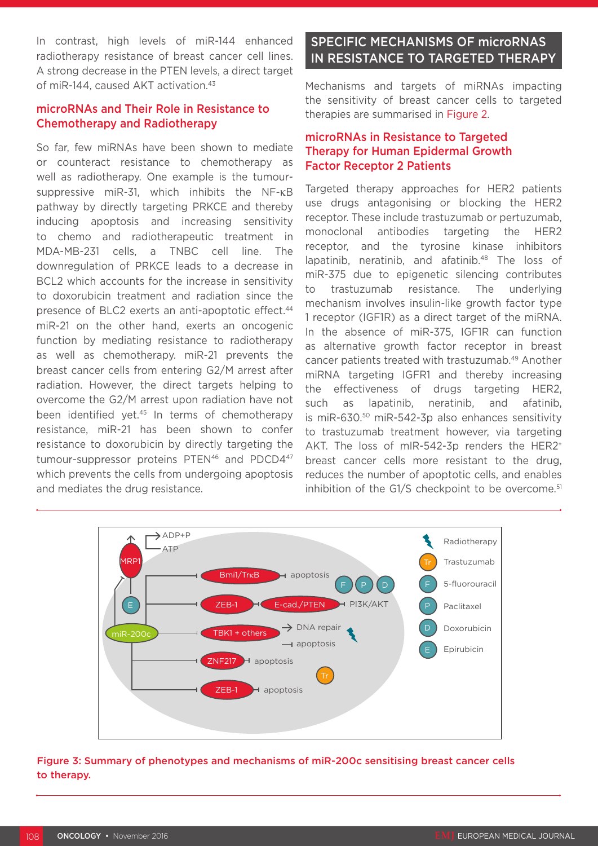In contrast, high levels of miR-144 enhanced radiotherapy resistance of breast cancer cell lines. A strong decrease in the PTEN levels, a direct target of miR-144, caused AKT activation.<sup>43</sup>

## microRNAs and Their Role in Resistance to Chemotherapy and Radiotherapy

So far, few miRNAs have been shown to mediate or counteract resistance to chemotherapy as well as radiotherapy. One example is the tumoursuppressive miR-31, which inhibits the NF-κB pathway by directly targeting PRKCE and thereby inducing apoptosis and increasing sensitivity to chemo and radiotherapeutic treatment in MDA-MB-231 cells, a TNBC cell line. The downregulation of PRKCE leads to a decrease in BCL2 which accounts for the increase in sensitivity to doxorubicin treatment and radiation since the presence of BLC2 exerts an anti-apoptotic effect.44 miR-21 on the other hand, exerts an oncogenic function by mediating resistance to radiotherapy as well as chemotherapy. miR-21 prevents the breast cancer cells from entering G2/M arrest after radiation. However, the direct targets helping to overcome the G2/M arrest upon radiation have not been identified yet.45 In terms of chemotherapy resistance, miR-21 has been shown to confer resistance to doxorubicin by directly targeting the tumour-suppressor proteins PTEN<sup>46</sup> and PDCD4<sup>47</sup> which prevents the cells from undergoing apoptosis and mediates the drug resistance.

# SPECIFIC MECHANISMS OF microRNAS IN RESISTANCE TO TARGETED THERAPY

Mechanisms and targets of miRNAs impacting the sensitivity of breast cancer cells to targeted therapies are summarised in Figure 2.

## microRNAs in Resistance to Targeted Therapy for Human Epidermal Growth Factor Receptor 2 Patients

Targeted therapy approaches for HER2 patients use drugs antagonising or blocking the HER2 receptor. These include trastuzumab or pertuzumab, monoclonal antibodies targeting the HER2 receptor, and the tyrosine kinase inhibitors lapatinib, neratinib, and afatinib.<sup>48</sup> The loss of miR-375 due to epigenetic silencing contributes to trastuzumab resistance. The underlying mechanism involves insulin-like growth factor type 1 receptor (IGF1R) as a direct target of the miRNA. In the absence of miR-375, IGF1R can function as alternative growth factor receptor in breast cancer patients treated with trastuzumab.49 Another miRNA targeting IGFR1 and thereby increasing the effectiveness of drugs targeting HER2, such as lapatinib, neratinib, and afatinib, is miR-630.50 miR-542-3p also enhances sensitivity to trastuzumab treatment however, via targeting AKT. The loss of mIR-542-3p renders the HER2+ breast cancer cells more resistant to the drug, reduces the number of apoptotic cells, and enables inhibition of the G1/S checkpoint to be overcome.<sup>51</sup>



### Figure 3: Summary of phenotypes and mechanisms of miR-200c sensitising breast cancer cells to therapy.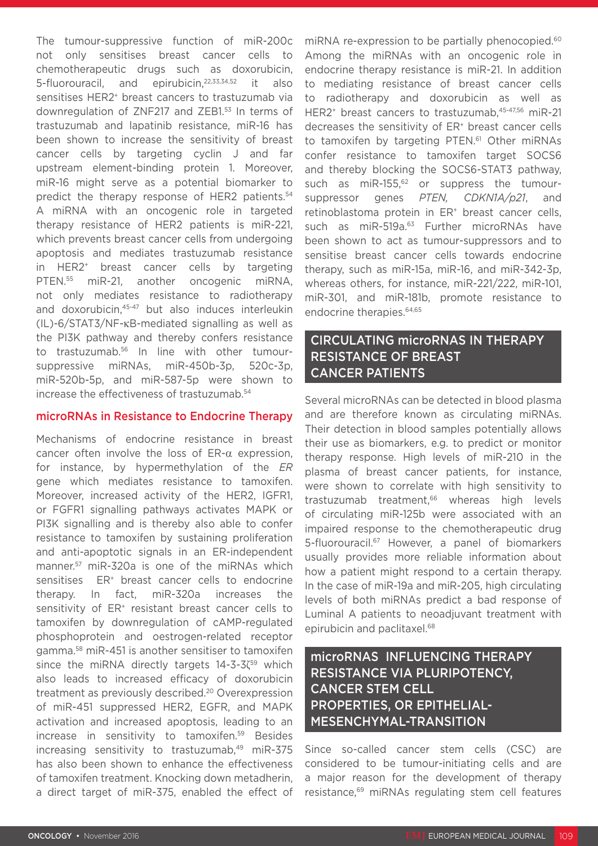The tumour-suppressive function of miR-200c not only sensitises breast cancer cells to chemotherapeutic drugs such as doxorubicin, 5-fluorouracil, and epirubicin,<sup>22,33,34,52</sup> it also sensitises HER2<sup>+</sup> breast cancers to trastuzumab via downregulation of ZNF217 and ZEB1.53 In terms of trastuzumab and lapatinib resistance, miR-16 has been shown to increase the sensitivity of breast cancer cells by targeting cyclin J and far upstream element-binding protein 1. Moreover, miR-16 might serve as a potential biomarker to predict the therapy response of HER2 patients.<sup>54</sup> A miRNA with an oncogenic role in targeted therapy resistance of HER2 patients is miR-221, which prevents breast cancer cells from undergoing apoptosis and mediates trastuzumab resistance in HER2+ breast cancer cells by targeting PTEN.55 miR-21, another oncogenic miRNA, not only mediates resistance to radiotherapy and doxorubicin,<sup>45-47</sup> but also induces interleukin (IL)-6/STAT3/NF-κB-mediated signalling as well as the PI3K pathway and thereby confers resistance to trastuzumab.56 In line with other tumoursuppressive miRNAs, miR-450b-3p, 520c-3p, miR-520b-5p, and miR-587-5p were shown to increase the effectiveness of trastuzumab.54

#### microRNAs in Resistance to Endocrine Therapy

Mechanisms of endocrine resistance in breast cancer often involve the loss of ER-α expression, for instance, by hypermethylation of the *ER* gene which mediates resistance to tamoxifen. Moreover, increased activity of the HER2, IGFR1, or FGFR1 signalling pathways activates MAPK or PI3K signalling and is thereby also able to confer resistance to tamoxifen by sustaining proliferation and anti-apoptotic signals in an ER-independent manner.57 miR-320a is one of the miRNAs which sensitises ER<sup>+</sup> breast cancer cells to endocrine therapy. In fact, miR-320a increases the sensitivity of ER<sup>+</sup> resistant breast cancer cells to tamoxifen by downregulation of cAMP-regulated phosphoprotein and oestrogen-related receptor gamma.58 miR-451 is another sensitiser to tamoxifen since the miRNA directly targets 14-3-3ζ<sup>59</sup> which also leads to increased efficacy of doxorubicin treatment as previously described.20 Overexpression of miR-451 suppressed HER2, EGFR, and MAPK activation and increased apoptosis, leading to an increase in sensitivity to tamoxifen.59 Besides increasing sensitivity to trastuzumab.<sup>49</sup> miR-375 has also been shown to enhance the effectiveness of tamoxifen treatment. Knocking down metadherin, a direct target of miR-375, enabled the effect of

miRNA re-expression to be partially phenocopied.<sup>60</sup> Among the miRNAs with an oncogenic role in endocrine therapy resistance is miR-21. In addition to mediating resistance of breast cancer cells to radiotherapy and doxorubicin as well as HER2<sup>+</sup> breast cancers to trastuzumab, 45-47,56 miR-21 decreases the sensitivity of ER<sup>+</sup> breast cancer cells to tamoxifen by targeting PTEN.<sup>61</sup> Other miRNAs confer resistance to tamoxifen target SOCS6 and thereby blocking the SOCS6-STAT3 pathway, such as miR-155, $62$  or suppress the tumoursuppressor genes *PTEN, CDKN1A/p21*, and retinoblastoma protein in ER<sup>+</sup> breast cancer cells, such as miR-519a.<sup>63</sup> Further microRNAs have been shown to act as tumour-suppressors and to sensitise breast cancer cells towards endocrine therapy, such as miR-15a, miR-16, and miR-342-3p, whereas others, for instance, miR-221/222, miR-101, miR-301, and miR-181b, promote resistance to endocrine therapies.64,65

## CIRCULATING microRNAS IN THERAPY RESISTANCE OF BREAST CANCER PATIENTS

Several microRNAs can be detected in blood plasma and are therefore known as circulating miRNAs. Their detection in blood samples potentially allows their use as biomarkers, e.g. to predict or monitor therapy response. High levels of miR-210 in the plasma of breast cancer patients, for instance, were shown to correlate with high sensitivity to trastuzumab treatment,<sup>66</sup> whereas high levels of circulating miR-125b were associated with an impaired response to the chemotherapeutic drug 5-fluorouracil.<sup>67</sup> However, a panel of biomarkers usually provides more reliable information about how a patient might respond to a certain therapy. In the case of miR-19a and miR-205, high circulating levels of both miRNAs predict a bad response of Luminal A patients to neoadjuvant treatment with epirubicin and paclitaxel.68

microRNAS INFLUENCING THERAPY RESISTANCE VIA PLURIPOTENCY, CANCER STEM CELL PROPERTIES, OR EPITHELIAL-MESENCHYMAL-TRANSITION

Since so-called cancer stem cells (CSC) are considered to be tumour-initiating cells and are a major reason for the development of therapy resistance,69 miRNAs regulating stem cell features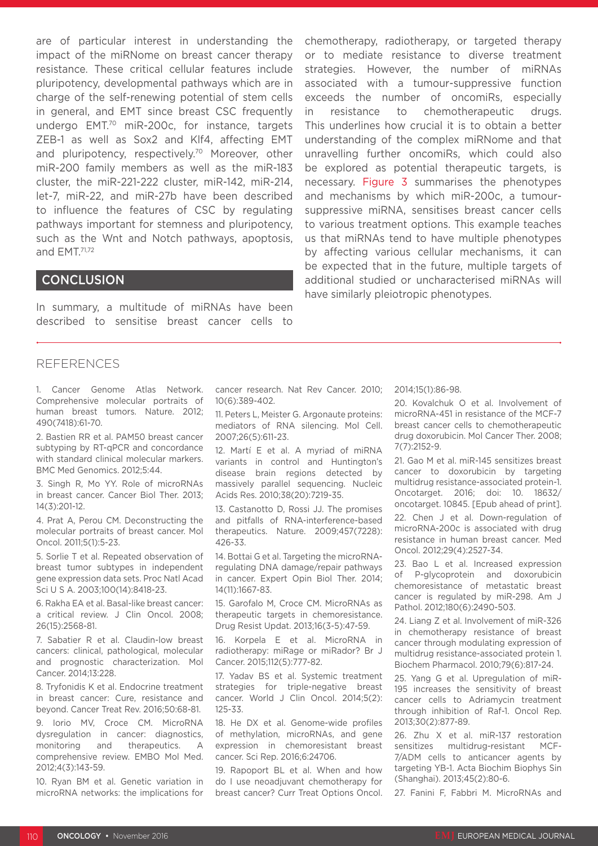are of particular interest in understanding the impact of the miRNome on breast cancer therapy resistance. These critical cellular features include pluripotency, developmental pathways which are in charge of the self-renewing potential of stem cells in general, and EMT since breast CSC frequently undergo EMT.70 miR-200c, for instance, targets ZEB-1 as well as Sox2 and Klf4, affecting EMT and pluripotency, respectively.<sup>70</sup> Moreover, other miR-200 family members as well as the miR-183 cluster, the miR-221-222 cluster, miR-142, miR-214, let-7, miR-22, and miR-27b have been described to influence the features of CSC by regulating pathways important for stemness and pluripotency, such as the Wnt and Notch pathways, apoptosis, and EMT.71,72

### **CONCLUSION**

In summary, a multitude of miRNAs have been described to sensitise breast cancer cells to

**REFERENCES** 

1. Cancer Genome Atlas Network. Comprehensive molecular portraits of human breast tumors. Nature. 2012; 490(7418):61-70.

2. Bastien RR et al. PAM50 breast cancer subtyping by RT-qPCR and concordance with standard clinical molecular markers. BMC Med Genomics. 2012;5:44.

3. Singh R, Mo YY. Role of microRNAs in breast cancer. Cancer Biol Ther. 2013; 14(3):201-12.

4. Prat A, Perou CM. Deconstructing the molecular portraits of breast cancer. Mol Oncol. 2011;5(1):5-23.

5. Sorlie T et al. Repeated observation of breast tumor subtypes in independent gene expression data sets. Proc Natl Acad Sci U S A. 2003;100(14):8418-23.

6. Rakha EA et al. Basal-like breast cancer: a critical review. J Clin Oncol. 2008; 26(15):2568-81.

7. Sabatier R et al. Claudin-low breast cancers: clinical, pathological, molecular and prognostic characterization. Mol Cancer. 2014;13:228.

8. Tryfonidis K et al. Endocrine treatment in breast cancer: Cure, resistance and beyond. Cancer Treat Rev. 2016;50:68-81.

9. Iorio MV, Croce CM. MicroRNA dysregulation in cancer: diagnostics, monitoring and therapeutics. A comprehensive review. EMBO Mol Med. 2012;4(3):143-59.

10. Ryan BM et al. Genetic variation in microRNA networks: the implications for cancer research. Nat Rev Cancer. 2010; 10(6):389-402.

11. Peters L, Meister G. Argonaute proteins: mediators of RNA silencing. Mol Cell. 2007;26(5):611-23.

12. Martí E et al. A myriad of miRNA variants in control and Huntington's disease brain regions detected by massively parallel sequencing. Nucleic Acids Res. 2010;38(20):7219-35.

13. Castanotto D, Rossi JJ. The promises and pitfalls of RNA-interference-based therapeutics. Nature. 2009;457(7228): 426-33.

14. Bottai G et al. Targeting the microRNAregulating DNA damage/repair pathways in cancer. Expert Opin Biol Ther. 2014; 14(11):1667-83.

15. Garofalo M, Croce CM. MicroRNAs as therapeutic targets in chemoresistance. Drug Resist Updat. 2013;16(3-5):47-59.

16. Korpela E et al. MicroRNA in radiotherapy: miRage or miRador? Br J Cancer. 2015;112(5):777-82.

17. Yadav BS et al. Systemic treatment strategies for triple-negative breast cancer. World J Clin Oncol. 2014;5(2): 125-33.

18. He DX et al. Genome-wide profiles of methylation, microRNAs, and gene expression in chemoresistant breast cancer. Sci Rep. 2016;6:24706.

19. Rapoport BL et al. When and how do I use neoadjuvant chemotherapy for breast cancer? Curr Treat Options Oncol.

This underlines how crucial it is to obtain a better understanding of the complex miRNome and that unravelling further oncomiRs, which could also be explored as potential therapeutic targets, is necessary. Figure 3 summarises the phenotypes and mechanisms by which miR-200c, a tumoursuppressive miRNA, sensitises breast cancer cells to various treatment options. This example teaches us that miRNAs tend to have multiple phenotypes by affecting various cellular mechanisms, it can be expected that in the future, multiple targets of additional studied or uncharacterised miRNAs will have similarly pleiotropic phenotypes.

chemotherapy, radiotherapy, or targeted therapy or to mediate resistance to diverse treatment strategies. However, the number of miRNAs associated with a tumour-suppressive function exceeds the number of oncomiRs, especially in resistance to chemotherapeutic drugs.

2014;15(1):86-98.

20. Kovalchuk O et al. Involvement of microRNA-451 in resistance of the MCF-7 breast cancer cells to chemotherapeutic drug doxorubicin. Mol Cancer Ther. 2008; 7(7):2152-9.

21. Gao M et al. miR-145 sensitizes breast cancer to doxorubicin by targeting multidrug resistance-associated protein-1. Oncotarget. 2016; doi: 10. 18632/ oncotarget. 10845. [Epub ahead of print].

22. Chen J et al. Down-regulation of microRNA-200c is associated with drug resistance in human breast cancer. Med Oncol. 2012;29(4):2527-34.

23. Bao L et al. Increased expression of P-glycoprotein and doxorubicin chemoresistance of metastatic breast cancer is regulated by miR-298. Am J Pathol. 2012;180(6):2490-503.

24. Liang Z et al. Involvement of miR-326 in chemotherapy resistance of breast cancer through modulating expression of multidrug resistance-associated protein 1. Biochem Pharmacol. 2010;79(6):817-24.

25. Yang G et al. Upregulation of miR-195 increases the sensitivity of breast cancer cells to Adriamycin treatment through inhibition of Raf-1. Oncol Rep. 2013;30(2):877-89.

26. Zhu X et al. miR-137 restoration sensitizes multidrug-resistant MCF-7/ADM cells to anticancer agents by targeting YB-1. Acta Biochim Biophys Sin (Shanghai). 2013;45(2):80-6.

27. Fanini F, Fabbri M. MicroRNAs and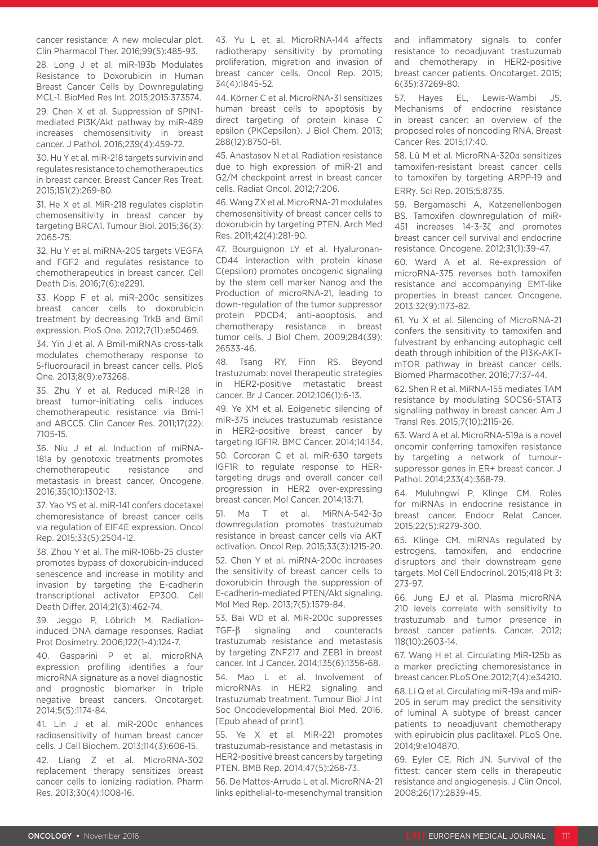cancer resistance: A new molecular plot. Clin Pharmacol Ther. 2016;99(5):485-93.

28. Long J et al. miR-193b Modulates Resistance to Doxorubicin in Human Breast Cancer Cells by Downregulating MCL-1. BioMed Res Int. 2015;2015:373574.

29. Chen X et al. Suppression of SPIN1 mediated PI3K/Akt pathway by miR-489 increases chemosensitivity in breast cancer. J Pathol. 2016;239(4):459-72.

30. Hu Y et al. miR-218 targets survivin and regulates resistance to chemotherapeutics in breast cancer. Breast Cancer Res Treat. 2015;151(2):269-80.

31. He X et al. MiR-218 regulates cisplatin chemosensitivity in breast cancer by targeting BRCA1. Tumour Biol. 2015;36(3): 2065-75.

32. Hu Y et al. miRNA-205 targets VEGFA and FGF2 and regulates resistance to chemotherapeutics in breast cancer. Cell Death Dis. 2016;7(6):e2291.

33. Kopp F et al. miR-200c sensitizes breast cancer cells to doxorubicin treatment by decreasing TrkB and Bmi1 expression. PloS One. 2012;7(11):e50469.

34. Yin J et al. A Bmi1-miRNAs cross-talk modulates chemotherapy response to 5-fluorouracil in breast cancer cells. PloS One. 2013;8(9):e73268.

35. Zhu Y et al. Reduced miR-128 in breast tumor-initiating cells induces chemotherapeutic resistance via Bmi-1 and ABCC5. Clin Cancer Res. 2011;17(22): 7105-15.

36. Niu J et al. Induction of miRNA-181a by genotoxic treatments promotes chemotherapeutic resistance and metastasis in breast cancer. Oncogene. 2016;35(10):1302-13.

37. Yao YS et al. miR-141 confers docetaxel chemoresistance of breast cancer cells via regulation of EIF4E expression. Oncol Rep. 2015;33(5):2504-12.

38. Zhou Y et al. The miR-106b~25 cluster promotes bypass of doxorubicin-induced senescence and increase in motility and invasion by targeting the E-cadherin transcriptional activator EP300. Cell Death Differ. 2014;21(3):462-74.

39. Jeggo P, Löbrich M. Radiationinduced DNA damage responses. Radiat Prot Dosimetry. 2006;122(1-4):124-7.

40. Gasparini P et al. microRNA expression profiling identifies a four microRNA signature as a novel diagnostic and prognostic biomarker in triple negative breast cancers. Oncotarget. 2014;5(5):1174-84.

41. Lin J et al. miR-200c enhances radiosensitivity of human breast cancer cells. J Cell Biochem. 2013;114(3):606-15.

42. Liang Z et al. MicroRNA-302 replacement therapy sensitizes breast cancer cells to ionizing radiation. Pharm Res. 2013;30(4):1008-16.

43. Yu L et al. MicroRNA-144 affects radiotherapy sensitivity by promoting proliferation, migration and invasion of breast cancer cells. Oncol Rep. 2015; 34(4):1845-52.

44. Körner C et al. MicroRNA-31 sensitizes human breast cells to apoptosis by direct targeting of protein kinase C epsilon (PKCepsilon). J Biol Chem. 2013; 288(12):8750-61.

45. Anastasov N et al. Radiation resistance due to high expression of miR-21 and G2/M checkpoint arrest in breast cancer cells. Radiat Oncol. 2012;7:206.

46. Wang ZX et al. MicroRNA-21 modulates chemosensitivity of breast cancer cells to doxorubicin by targeting PTEN. Arch Med Res. 2011;42(4):281-90.

47. Bourguignon LY et al. Hyaluronan-CD44 interaction with protein kinase C(epsilon) promotes oncogenic signaling by the stem cell marker Nanog and the Production of microRNA-21, leading to down-regulation of the tumor suppressor protein PDCD4, anti-apoptosis, and chemotherapy resistance in breast tumor cells. J Biol Chem. 2009;284(39): 26533-46.

48. Tsang RY, Finn RS. Beyond trastuzumab: novel therapeutic strategies in HER2-positive metastatic breast cancer. Br J Cancer. 2012;106(1):6-13.

49. Ye XM et al. Epigenetic silencing of miR-375 induces trastuzumab resistance in HER2-positive breast cancer by targeting IGF1R. BMC Cancer. 2014;14:134. 50. Corcoran C et al. miR-630 targets IGF1R to regulate response to HERtargeting drugs and overall cancer cell progression in HER2 over-expressing breast cancer. Mol Cancer. 2014;13:71.

51. Ma T et al. MiRNA-542-3p downregulation promotes trastuzumab resistance in breast cancer cells via AKT activation. Oncol Rep. 2015;33(3):1215-20. 52. Chen Y et al. miRNA-200c increases the sensitivity of breast cancer cells to doxorubicin through the suppression of E-cadherin-mediated PTEN/Akt signaling. Mol Med Rep. 2013;7(5):1579-84.

53. Bai WD et al. MiR-200c suppresses TGF-β signaling and counteracts trastuzumab resistance and metastasis by targeting ZNF217 and ZEB1 in breast cancer. Int J Cancer. 2014;135(6):1356-68.

54. Mao L et al. Involvement of microRNAs in HER2 signaling and trastuzumab treatment. Tumour Biol J Int Soc Oncodevelopmental Biol Med. 2016. [Epub ahead of print].

55. Ye X et al. MiR-221 promotes trastuzumab-resistance and metastasis in HER2-positive breast cancers by targeting PTEN. BMB Rep. 2014;47(5):268-73.

56. De Mattos-Arruda L et al. MicroRNA-21 links epithelial-to-mesenchymal transition and inflammatory signals to confer resistance to neoadjuvant trastuzumab and chemotherapy in HER2-positive breast cancer patients. Oncotarget. 2015; 6(35):37269-80.

57. Hayes EL, Lewis-Wambi JS. Mechanisms of endocrine resistance in breast cancer: an overview of the proposed roles of noncoding RNA. Breast Cancer Res. 2015;17:40.

58. Lü M et al. MicroRNA-320a sensitizes tamoxifen-resistant breast cancer cells to tamoxifen by targeting ARPP-19 and ERRγ. Sci Rep. 2015;5:8735.

59. Bergamaschi A, Katzenellenbogen BS. Tamoxifen downregulation of miR-451 increases 14-3-3ζ and promotes breast cancer cell survival and endocrine resistance. Oncogene. 2012;31(1):39-47.

60. Ward A et al. Re-expression of microRNA-375 reverses both tamoxifen resistance and accompanying EMT-like properties in breast cancer. Oncogene. 2013;32(9):1173-82.

61. Yu X et al. Silencing of MicroRNA-21 confers the sensitivity to tamoxifen and fulvestrant by enhancing autophagic cell death through inhibition of the PI3K-AKTmTOR pathway in breast cancer cells. Biomed Pharmacother. 2016;77:37-44.

62. Shen R et al. MiRNA-155 mediates TAM resistance by modulating SOCS6-STAT3 signalling pathway in breast cancer. Am J Transl Res. 2015;7(10):2115-26.

63. Ward A et al. MicroRNA-519a is a novel oncomir conferring tamoxifen resistance by targeting a network of tumoursuppressor genes in ER+ breast cancer. J Pathol. 2014;233(4):368-79.

64. Muluhngwi P, Klinge CM. Roles for miRNAs in endocrine resistance in breast cancer. Endocr Relat Cancer. 2015;22(5):R279-300.

65. Klinge CM. miRNAs regulated by estrogens, tamoxifen, and endocrine disruptors and their downstream gene targets. Mol Cell Endocrinol. 2015;418 Pt 3: 273-97.

66. Jung EJ et al. Plasma microRNA 210 levels correlate with sensitivity to trastuzumab and tumor presence in breast cancer patients. Cancer. 2012; 118(10):2603-14.

67. Wang H et al. Circulating MiR-125b as a marker predicting chemoresistance in breast cancer. PLoS One. 2012;7(4):e34210.

68. Li Q et al. Circulating miR-19a and miR-205 in serum may predict the sensitivity of luminal A subtype of breast cancer patients to neoadjuvant chemotherapy with epirubicin plus paclitaxel. PLoS One. 2014;9:e104870.

69. Eyler CE, Rich JN. Survival of the fittest: cancer stem cells in therapeutic resistance and angiogenesis. J Clin Oncol. 2008;26(17):2839-45.